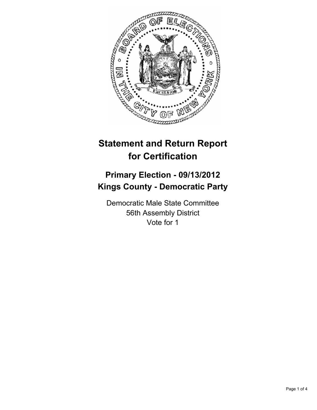

# **Statement and Return Report for Certification**

## **Primary Election - 09/13/2012 Kings County - Democratic Party**

Democratic Male State Committee 56th Assembly District Vote for 1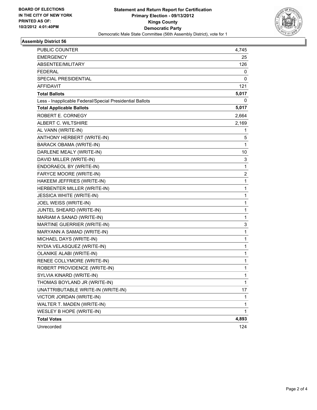

#### **Assembly District 56**

| PUBLIC COUNTER                                           | 4,745        |
|----------------------------------------------------------|--------------|
| <b>EMERGENCY</b>                                         | 25           |
| ABSENTEE/MILITARY                                        | 126          |
| <b>FEDERAL</b>                                           | 0            |
| <b>SPECIAL PRESIDENTIAL</b>                              | 0            |
| <b>AFFIDAVIT</b>                                         | 121          |
| <b>Total Ballots</b>                                     | 5,017        |
| Less - Inapplicable Federal/Special Presidential Ballots | 0            |
| <b>Total Applicable Ballots</b>                          | 5,017        |
| ROBERT E. CORNEGY                                        | 2,664        |
| ALBERT C. WILTSHIRE                                      | 2,169        |
| AL VANN (WRITE-IN)                                       | 1            |
| ANTHONY HERBERT (WRITE-IN)                               | 5            |
| <b>BARACK OBAMA (WRITE-IN)</b>                           | 1            |
| DARLENE MEALY (WRITE-IN)                                 | 10           |
| DAVID MILLER (WRITE-IN)                                  | 3            |
| ENDORAEOL BY (WRITE-IN)                                  | 1            |
| FARYCE MOORE (WRITE-IN)                                  | 2            |
| HAKEEM JEFFRIES (WRITE-IN)                               | 1            |
| HERBENTER MILLER (WRITE-IN)                              | 1            |
| <b>JESSICA WHITE (WRITE-IN)</b>                          | 1            |
| JOEL WEISS (WRITE-IN)                                    | 1            |
| JUNTEL SHEARD (WRITE-IN)                                 | 1            |
| MARIAM A SANAD (WRITE-IN)                                | 1            |
| MARTINE GUERRIER (WRITE-IN)                              | 3            |
| MARYANN A SAMAD (WRITE-IN)                               | 1            |
| MICHAEL DAYS (WRITE-IN)                                  | 1            |
| NYDIA VELASQUEZ (WRITE-IN)                               | 1            |
| <b>OLANIKE ALABI (WRITE-IN)</b>                          | 1            |
| RENEE COLLYMORE (WRITE-IN)                               | 1            |
| ROBERT PROVIDENCE (WRITE-IN)                             | 1            |
| SYLVIA KINARD (WRITE-IN)                                 | 1            |
| THOMAS BOYLAND JR (WRITE-IN)                             | 1            |
| UNATTRIBUTABLE WRITE-IN (WRITE-IN)                       | 17           |
| VICTOR JORDAN (WRITE-IN)                                 | 1            |
| WALTER T. MADEN (WRITE-IN)                               | 1            |
| WESLEY B HOPE (WRITE-IN)                                 | $\mathbf{1}$ |
| <b>Total Votes</b>                                       | 4,893        |
| Unrecorded                                               | 124          |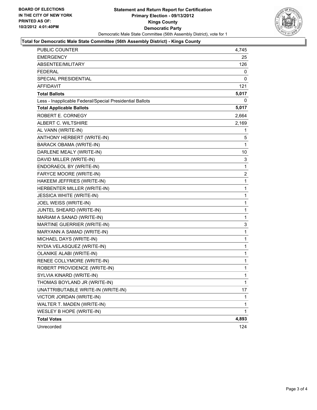

#### **Total for Democratic Male State Committee (56th Assembly District) - Kings County**

| PUBLIC COUNTER                                           | 4,745          |
|----------------------------------------------------------|----------------|
| <b>EMERGENCY</b>                                         | 25             |
| ABSENTEE/MILITARY                                        | 126            |
| <b>FEDERAL</b>                                           | 0              |
| SPECIAL PRESIDENTIAL                                     | 0              |
| <b>AFFIDAVIT</b>                                         | 121            |
| <b>Total Ballots</b>                                     | 5,017          |
| Less - Inapplicable Federal/Special Presidential Ballots | 0              |
| <b>Total Applicable Ballots</b>                          | 5,017          |
| ROBERT E. CORNEGY                                        | 2,664          |
| ALBERT C. WILTSHIRE                                      | 2,169          |
| AL VANN (WRITE-IN)                                       | 1              |
| ANTHONY HERBERT (WRITE-IN)                               | 5              |
| <b>BARACK OBAMA (WRITE-IN)</b>                           | 1              |
| DARLENE MEALY (WRITE-IN)                                 | 10             |
| DAVID MILLER (WRITE-IN)                                  | 3              |
| ENDORAEOL BY (WRITE-IN)                                  | 1              |
| FARYCE MOORE (WRITE-IN)                                  | $\overline{2}$ |
| HAKEEM JEFFRIES (WRITE-IN)                               | 1              |
| HERBENTER MILLER (WRITE-IN)                              | 1              |
| <b>JESSICA WHITE (WRITE-IN)</b>                          | $\mathbf 1$    |
| JOEL WEISS (WRITE-IN)                                    | 1              |
| JUNTEL SHEARD (WRITE-IN)                                 | 1              |
| MARIAM A SANAD (WRITE-IN)                                | 1              |
| MARTINE GUERRIER (WRITE-IN)                              | 3              |
| MARYANN A SAMAD (WRITE-IN)                               | 1              |
| MICHAEL DAYS (WRITE-IN)                                  | 1              |
| NYDIA VELASQUEZ (WRITE-IN)                               | 1              |
| OLANIKE ALABI (WRITE-IN)                                 | 1              |
| RENEE COLLYMORE (WRITE-IN)                               | $\mathbf{1}$   |
| ROBERT PROVIDENCE (WRITE-IN)                             | 1              |
| SYLVIA KINARD (WRITE-IN)                                 | 1              |
| THOMAS BOYLAND JR (WRITE-IN)                             | $\mathbf 1$    |
| UNATTRIBUTABLE WRITE-IN (WRITE-IN)                       | 17             |
| VICTOR JORDAN (WRITE-IN)                                 | 1              |
| WALTER T. MADEN (WRITE-IN)                               | 1              |
| WESLEY B HOPE (WRITE-IN)                                 | 1              |
| <b>Total Votes</b>                                       | 4,893          |
| Unrecorded                                               | 124            |